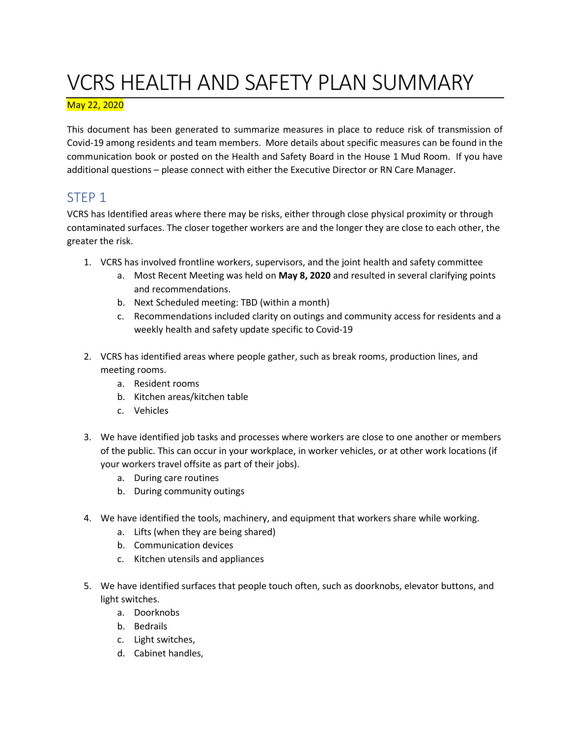# VCRS HEALTH AND SAFETY PLAN SUMMARY

#### May 22, 2020

This document has been generated to summarize measures in place to reduce risk of transmission of Covid-19 among residents and team members. More details about specific measures can be found in the communication book or posted on the Health and Safety Board in the House 1 Mud Room. If you have additional questions – please connect with either the Executive Director or RN Care Manager.

#### STEP 1

VCRS has Identified areas where there may be risks, either through close physical proximity or through contaminated surfaces. The closer together workers are and the longer they are close to each other, the greater the risk.

- 1. VCRS has involved frontline workers, supervisors, and the joint health and safety committee
	- a. Most Recent Meeting was held on **May 8, 2020** and resulted in several clarifying points and recommendations.
	- b. Next Scheduled meeting: TBD (within a month)
	- c. Recommendations included clarity on outings and community access for residents and a weekly health and safety update specific to Covid-19
- 2. VCRS has identified areas where people gather, such as break rooms, production lines, and meeting rooms.
	- a. Resident rooms
	- b. Kitchen areas/kitchen table
	- c. Vehicles
- 3. We have identified job tasks and processes where workers are close to one another or members of the public. This can occur in your workplace, in worker vehicles, or at other work locations (if your workers travel offsite as part of their jobs).
	- a. During care routines
	- b. During community outings
- 4. We have identified the tools, machinery, and equipment that workers share while working.
	- a. Lifts (when they are being shared)
	- b. Communication devices
	- c. Kitchen utensils and appliances
- 5. We have identified surfaces that people touch often, such as doorknobs, elevator buttons, and light switches.
	- a. Doorknobs
	- b. Bedrails
	- c. Light switches,
	- d. Cabinet handles,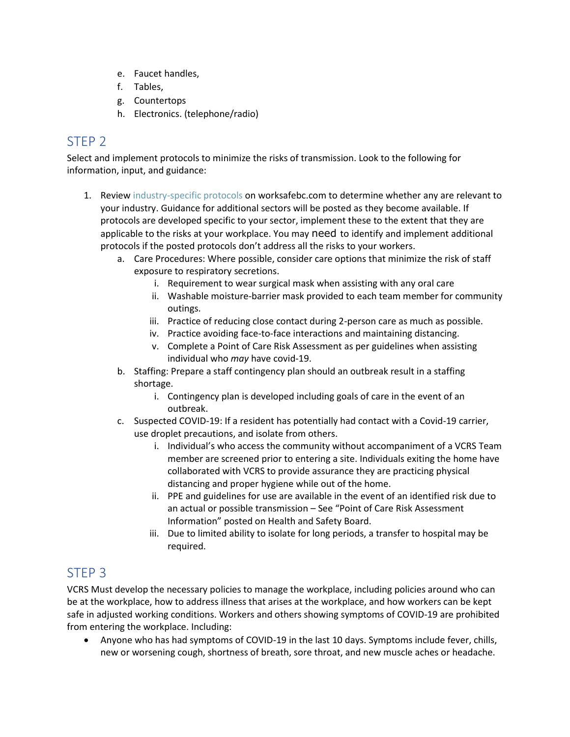- e. Faucet handles,
- f. Tables,
- g. Countertops
- h. Electronics. (telephone/radio)

### STEP 2

Select and implement protocols to minimize the risks of transmission. Look to the following for information, input, and guidance:

- 1. Review industry-specific protocols on worksafebc.com to determine whether any are relevant to your industry. Guidance for additional sectors will be posted as they become available. If protocols are developed specific to your sector, implement these to the extent that they are applicable to the risks at your workplace. You may need to identify and implement additional protocols if the posted protocols don't address all the risks to your workers.
	- a. Care Procedures: Where possible, consider care options that minimize the risk of staff exposure to respiratory secretions.
		- i. Requirement to wear surgical mask when assisting with any oral care
		- ii. Washable moisture-barrier mask provided to each team member for community outings.
		- iii. Practice of reducing close contact during 2-person care as much as possible.
		- iv. Practice avoiding face-to-face interactions and maintaining distancing.
		- v. Complete a Point of Care Risk Assessment as per guidelines when assisting individual who *may* have covid-19.
	- b. Staffing: Prepare a staff contingency plan should an outbreak result in a staffing shortage.
		- i. Contingency plan is developed including goals of care in the event of an outbreak.
	- c. Suspected COVID-19: If a resident has potentially had contact with a Covid-19 carrier, use droplet precautions, and isolate from others.
		- i. Individual's who access the community without accompaniment of a VCRS Team member are screened prior to entering a site. Individuals exiting the home have collaborated with VCRS to provide assurance they are practicing physical distancing and proper hygiene while out of the home.
		- ii. PPE and guidelines for use are available in the event of an identified risk due to an actual or possible transmission – See "Point of Care Risk Assessment Information" posted on Health and Safety Board.
		- iii. Due to limited ability to isolate for long periods, a transfer to hospital may be required.

#### STEP 3

VCRS Must develop the necessary policies to manage the workplace, including policies around who can be at the workplace, how to address illness that arises at the workplace, and how workers can be kept safe in adjusted working conditions. Workers and others showing symptoms of COVID-19 are prohibited from entering the workplace. Including:

• Anyone who has had symptoms of COVID-19 in the last 10 days. Symptoms include fever, chills, new or worsening cough, shortness of breath, sore throat, and new muscle aches or headache.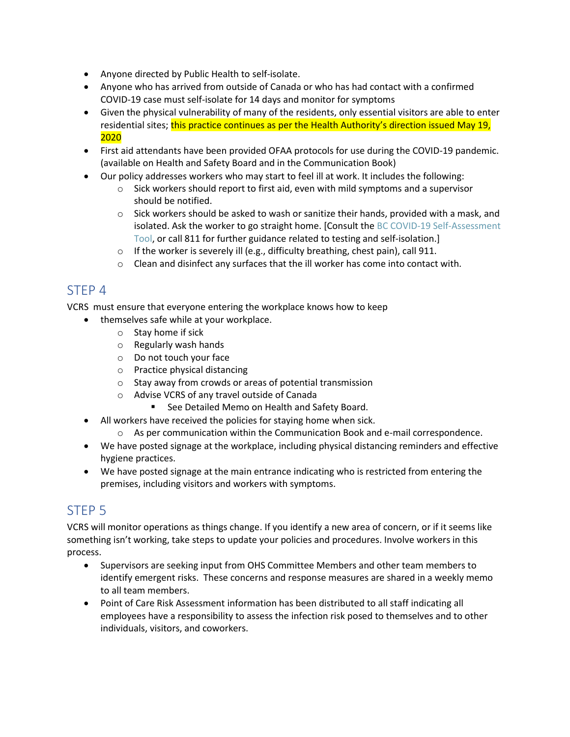- Anyone directed by Public Health to self-isolate.
- Anyone who has arrived from outside of Canada or who has had contact with a confirmed COVID-19 case must self-isolate for 14 days and monitor for symptoms
- Given the physical vulnerability of many of the residents, only essential visitors are able to enter residential sites; this practice continues as per the Health Authority's direction issued May 19, 2020
- First aid attendants have been provided OFAA protocols for use during the COVID-19 pandemic. (available on Health and Safety Board and in the Communication Book)
- Our policy addresses workers who may start to feel ill at work. It includes the following:
	- $\circ$  Sick workers should report to first aid, even with mild symptoms and a supervisor should be notified.
	- $\circ$  Sick workers should be asked to wash or sanitize their hands, provided with a mask, and isolated. Ask the worker to go straight home. [Consult the BC COVID-19 Self-Assessment Tool, or call 811 for further guidance related to testing and self-isolation.]
	- $\circ$  If the worker is severely ill (e.g., difficulty breathing, chest pain), call 911.
	- o Clean and disinfect any surfaces that the ill worker has come into contact with.

#### STEP 4

VCRS must ensure that everyone entering the workplace knows how to keep

- themselves safe while at your workplace.
	- o Stay home if sick
	- o Regularly wash hands
	- o Do not touch your face
	- o Practice physical distancing
	- o Stay away from crowds or areas of potential transmission
	- o Advise VCRS of any travel outside of Canada
		- See Detailed Memo on Health and Safety Board.
- All workers have received the policies for staying home when sick.
	- $\circ$  As per communication within the Communication Book and e-mail correspondence.
- We have posted signage at the workplace, including physical distancing reminders and effective hygiene practices.
- We have posted signage at the main entrance indicating who is restricted from entering the premises, including visitors and workers with symptoms.

## STEP 5

VCRS will monitor operations as things change. If you identify a new area of concern, or if it seems like something isn't working, take steps to update your policies and procedures. Involve workers in this process.

- Supervisors are seeking input from OHS Committee Members and other team members to identify emergent risks. These concerns and response measures are shared in a weekly memo to all team members.
- Point of Care Risk Assessment information has been distributed to all staff indicating all employees have a responsibility to assess the infection risk posed to themselves and to other individuals, visitors, and coworkers.